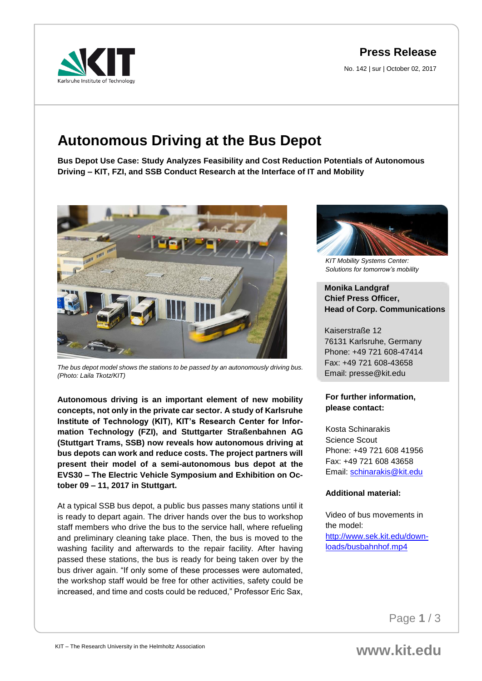## **Press Release**

No. 142 | sur | October 02, 2017

# **Autonomous Driving at the Bus Depot**

**Bus Depot Use Case: Study Analyzes Feasibility and Cost Reduction Potentials of Autonomous Driving – KIT, FZI, and SSB Conduct Research at the Interface of IT and Mobility** 



*The bus depot model shows the stations to be passed by an autonomously driving bus. (Photo: Laila Tkotz/KIT)*

**Autonomous driving is an important element of new mobility concepts, not only in the private car sector. A study of Karlsruhe Institute of Technology (KIT), KIT's Research Center for Information Technology (FZI), and Stuttgarter Straßenbahnen AG (Stuttgart Trams, SSB) now reveals how autonomous driving at bus depots can work and reduce costs. The project partners will present their model of a semi-autonomous bus depot at the EVS30 – The Electric Vehicle Symposium and Exhibition on October 09 – 11, 2017 in Stuttgart.** 

At a typical SSB bus depot, a public bus passes many stations until it is ready to depart again. The driver hands over the bus to workshop staff members who drive the bus to the service hall, where refueling and preliminary cleaning take place. Then, the bus is moved to the washing facility and afterwards to the repair facility. After having passed these stations, the bus is ready for being taken over by the bus driver again. "If only some of these processes were automated, the workshop staff would be free for other activities, safety could be increased, and time and costs could be reduced," Professor Eric Sax,



*KIT Mobility Systems Center: Solutions for tomorrow's mobility*

### **Monika Landgraf Chief Press Officer, Head of Corp. Communications**

Kaiserstraße 12 76131 Karlsruhe, Germany Phone: +49 721 608-47414 Fax: +49 721 608-43658 Email: presse@kit.edu

### **For further information, please contact:**

Kosta Schinarakis Science Scout Phone: +49 721 608 41956 Fax: +49 721 608 43658 Email: [schinarakis@kit.edu](mailto:schinarakis@kit.edu)

### **Additional material:**

Video of bus movements in the model: [http://www.sek.kit.edu/down](http://www.sek.kit.edu/downloads/busbahnhof.mp4)[loads/busbahnhof.mp4](http://www.sek.kit.edu/downloads/busbahnhof.mp4)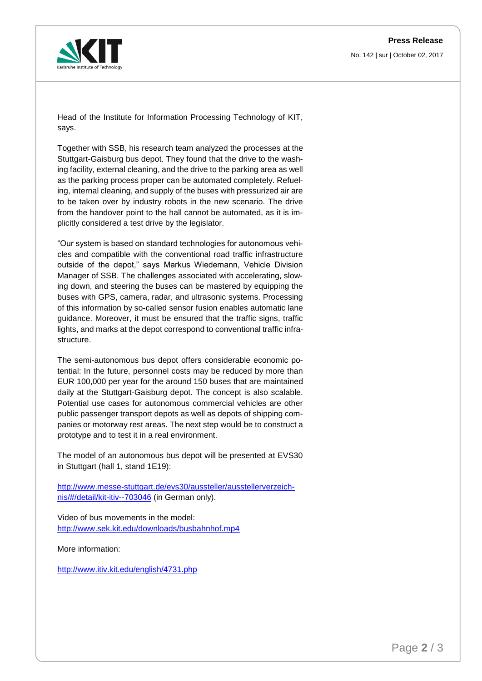No. 142 | sur | October 02, 2017



Head of the Institute for Information Processing Technology of KIT, says.

Together with SSB, his research team analyzed the processes at the Stuttgart-Gaisburg bus depot. They found that the drive to the washing facility, external cleaning, and the drive to the parking area as well as the parking process proper can be automated completely. Refueling, internal cleaning, and supply of the buses with pressurized air are to be taken over by industry robots in the new scenario. The drive from the handover point to the hall cannot be automated, as it is implicitly considered a test drive by the legislator.

"Our system is based on standard technologies for autonomous vehicles and compatible with the conventional road traffic infrastructure outside of the depot," says Markus Wiedemann, Vehicle Division Manager of SSB. The challenges associated with accelerating, slowing down, and steering the buses can be mastered by equipping the buses with GPS, camera, radar, and ultrasonic systems. Processing of this information by so-called sensor fusion enables automatic lane guidance. Moreover, it must be ensured that the traffic signs, traffic lights, and marks at the depot correspond to conventional traffic infrastructure.

The semi-autonomous bus depot offers considerable economic potential: In the future, personnel costs may be reduced by more than EUR 100,000 per year for the around 150 buses that are maintained daily at the Stuttgart-Gaisburg depot. The concept is also scalable. Potential use cases for autonomous commercial vehicles are other public passenger transport depots as well as depots of shipping companies or motorway rest areas. The next step would be to construct a prototype and to test it in a real environment.

The model of an autonomous bus depot will be presented at EVS30 in Stuttgart (hall 1, stand 1E19):

[http://www.messe-stuttgart.de/evs30/aussteller/ausstellerverzeich](http://www.messe-stuttgart.de/evs30/aussteller/ausstellerverzeichnis/#/detail/kit-itiv--703046)[nis/#/detail/kit-itiv--703046](http://www.messe-stuttgart.de/evs30/aussteller/ausstellerverzeichnis/#/detail/kit-itiv--703046) (in German only).

Video of bus movements in the model: <http://www.sek.kit.edu/downloads/busbahnhof.mp4>

More information:

<http://www.itiv.kit.edu/english/4731.php>